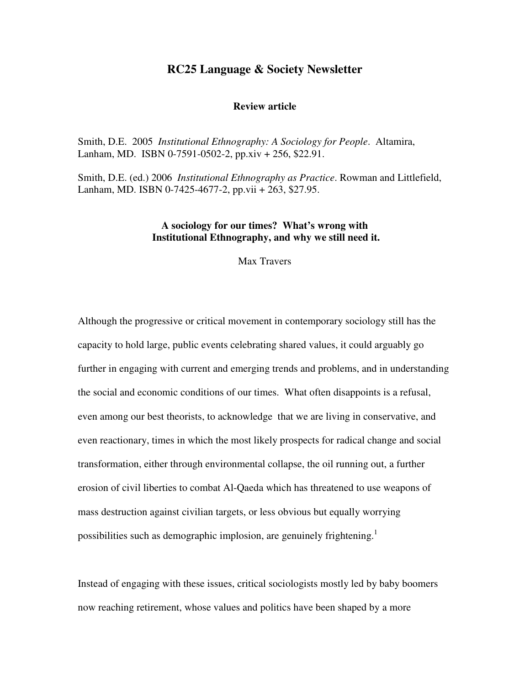# **RC25 Language & Society Newsletter**

## **Review article**

Smith, D.E. 2005 *Institutional Ethnography: A Sociology for People*. Altamira, Lanham, MD. ISBN 0-7591-0502-2, pp.xiv + 256, \$22.91.

Smith, D.E. (ed.) 2006 *Institutional Ethnography as Practice*. Rowman and Littlefield, Lanham, MD. ISBN 0-7425-4677-2, pp.vii + 263, \$27.95.

## **A sociology for our times? What's wrong with Institutional Ethnography, and why we still need it.**

Max Travers

Although the progressive or critical movement in contemporary sociology still has the capacity to hold large, public events celebrating shared values, it could arguably go further in engaging with current and emerging trends and problems, and in understanding the social and economic conditions of our times. What often disappoints is a refusal, even among our best theorists, to acknowledge that we are living in conservative, and even reactionary, times in which the most likely prospects for radical change and social transformation, either through environmental collapse, the oil running out, a further erosion of civil liberties to combat Al-Qaeda which has threatened to use weapons of mass destruction against civilian targets, or less obvious but equally worrying possibilities such as demographic implosion, are genuinely frightening.<sup>1</sup>

Instead of engaging with these issues, critical sociologists mostly led by baby boomers now reaching retirement, whose values and politics have been shaped by a more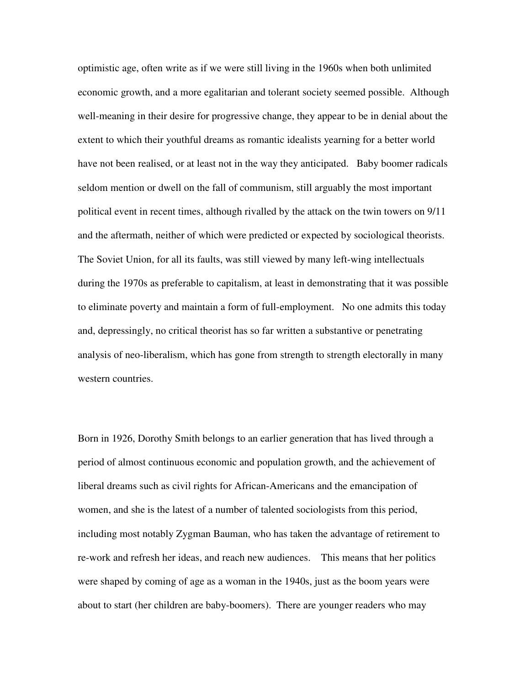optimistic age, often write as if we were still living in the 1960s when both unlimited economic growth, and a more egalitarian and tolerant society seemed possible. Although well-meaning in their desire for progressive change, they appear to be in denial about the extent to which their youthful dreams as romantic idealists yearning for a better world have not been realised, or at least not in the way they anticipated. Baby boomer radicals seldom mention or dwell on the fall of communism, still arguably the most important political event in recent times, although rivalled by the attack on the twin towers on 9/11 and the aftermath, neither of which were predicted or expected by sociological theorists. The Soviet Union, for all its faults, was still viewed by many left-wing intellectuals during the 1970s as preferable to capitalism, at least in demonstrating that it was possible to eliminate poverty and maintain a form of full-employment. No one admits this today and, depressingly, no critical theorist has so far written a substantive or penetrating analysis of neo-liberalism, which has gone from strength to strength electorally in many western countries.

Born in 1926, Dorothy Smith belongs to an earlier generation that has lived through a period of almost continuous economic and population growth, and the achievement of liberal dreams such as civil rights for African-Americans and the emancipation of women, and she is the latest of a number of talented sociologists from this period, including most notably Zygman Bauman, who has taken the advantage of retirement to re-work and refresh her ideas, and reach new audiences. This means that her politics were shaped by coming of age as a woman in the 1940s, just as the boom years were about to start (her children are baby-boomers). There are younger readers who may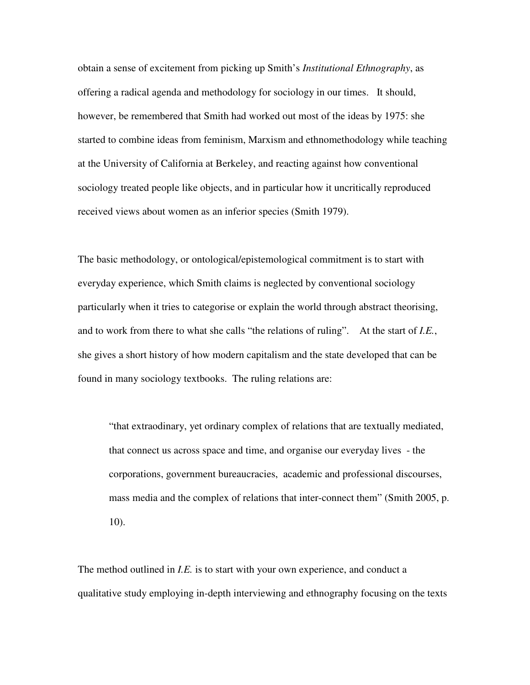obtain a sense of excitement from picking up Smith's *Institutional Ethnography*, as offering a radical agenda and methodology for sociology in our times. It should, however, be remembered that Smith had worked out most of the ideas by 1975: she started to combine ideas from feminism, Marxism and ethnomethodology while teaching at the University of California at Berkeley, and reacting against how conventional sociology treated people like objects, and in particular how it uncritically reproduced received views about women as an inferior species (Smith 1979).

The basic methodology, or ontological/epistemological commitment is to start with everyday experience, which Smith claims is neglected by conventional sociology particularly when it tries to categorise or explain the world through abstract theorising, and to work from there to what she calls "the relations of ruling". At the start of *I.E.*, she gives a short history of how modern capitalism and the state developed that can be found in many sociology textbooks. The ruling relations are:

"that extraodinary, yet ordinary complex of relations that are textually mediated, that connect us across space and time, and organise our everyday lives - the corporations, government bureaucracies, academic and professional discourses, mass media and the complex of relations that inter-connect them" (Smith 2005, p. 10).

The method outlined in *I.E.* is to start with your own experience, and conduct a qualitative study employing in-depth interviewing and ethnography focusing on the texts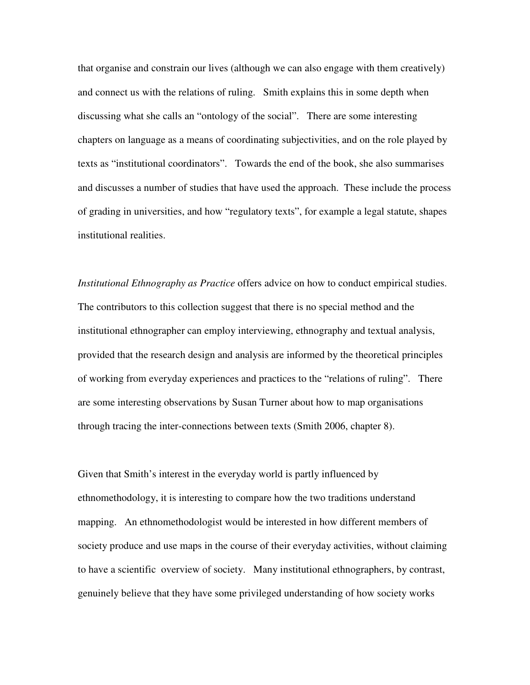that organise and constrain our lives (although we can also engage with them creatively) and connect us with the relations of ruling. Smith explains this in some depth when discussing what she calls an "ontology of the social". There are some interesting chapters on language as a means of coordinating subjectivities, and on the role played by texts as "institutional coordinators". Towards the end of the book, she also summarises and discusses a number of studies that have used the approach. These include the process of grading in universities, and how "regulatory texts", for example a legal statute, shapes institutional realities.

*Institutional Ethnography as Practice* offers advice on how to conduct empirical studies. The contributors to this collection suggest that there is no special method and the institutional ethnographer can employ interviewing, ethnography and textual analysis, provided that the research design and analysis are informed by the theoretical principles of working from everyday experiences and practices to the "relations of ruling". There are some interesting observations by Susan Turner about how to map organisations through tracing the inter-connections between texts (Smith 2006, chapter 8).

Given that Smith's interest in the everyday world is partly influenced by ethnomethodology, it is interesting to compare how the two traditions understand mapping. An ethnomethodologist would be interested in how different members of society produce and use maps in the course of their everyday activities, without claiming to have a scientific overview of society. Many institutional ethnographers, by contrast, genuinely believe that they have some privileged understanding of how society works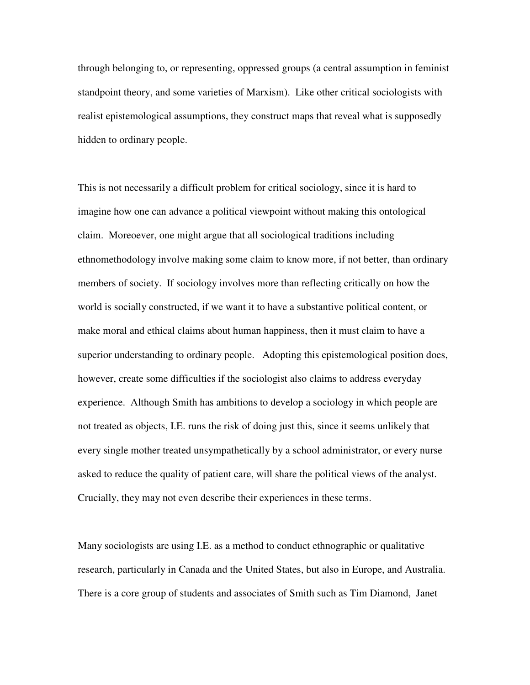through belonging to, or representing, oppressed groups (a central assumption in feminist standpoint theory, and some varieties of Marxism). Like other critical sociologists with realist epistemological assumptions, they construct maps that reveal what is supposedly hidden to ordinary people.

This is not necessarily a difficult problem for critical sociology, since it is hard to imagine how one can advance a political viewpoint without making this ontological claim. Moreoever, one might argue that all sociological traditions including ethnomethodology involve making some claim to know more, if not better, than ordinary members of society. If sociology involves more than reflecting critically on how the world is socially constructed, if we want it to have a substantive political content, or make moral and ethical claims about human happiness, then it must claim to have a superior understanding to ordinary people. Adopting this epistemological position does, however, create some difficulties if the sociologist also claims to address everyday experience. Although Smith has ambitions to develop a sociology in which people are not treated as objects, I.E. runs the risk of doing just this, since it seems unlikely that every single mother treated unsympathetically by a school administrator, or every nurse asked to reduce the quality of patient care, will share the political views of the analyst. Crucially, they may not even describe their experiences in these terms.

Many sociologists are using I.E. as a method to conduct ethnographic or qualitative research, particularly in Canada and the United States, but also in Europe, and Australia. There is a core group of students and associates of Smith such as Tim Diamond, Janet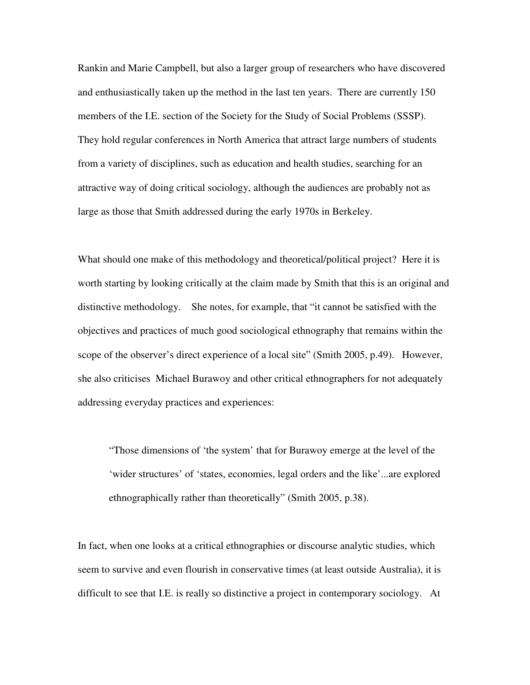Rankin and Marie Campbell, but also a larger group of researchers who have discovered and enthusiastically taken up the method in the last ten years. There are currently 150 members of the I.E. section of the Society for the Study of Social Problems (SSSP). They hold regular conferences in North America that attract large numbers of students from a variety of disciplines, such as education and health studies, searching for an attractive way of doing critical sociology, although the audiences are probably not as large as those that Smith addressed during the early 1970s in Berkeley.

What should one make of this methodology and theoretical/political project? Here it is worth starting by looking critically at the claim made by Smith that this is an original and distinctive methodology. She notes, for example, that "it cannot be satisfied with the objectives and practices of much good sociological ethnography that remains within the scope of the observer's direct experience of a local site" (Smith 2005, p.49). However, she also criticises Michael Burawoy and other critical ethnographers for not adequately addressing everyday practices and experiences:

"Those dimensions of 'the system' that for Burawoy emerge at the level of the 'wider structures' of 'states, economies, legal orders and the like'...are explored ethnographically rather than theoretically" (Smith 2005, p.38).

In fact, when one looks at a critical ethnographies or discourse analytic studies, which seem to survive and even flourish in conservative times (at least outside Australia), it is difficult to see that I.E. is really so distinctive a project in contemporary sociology. At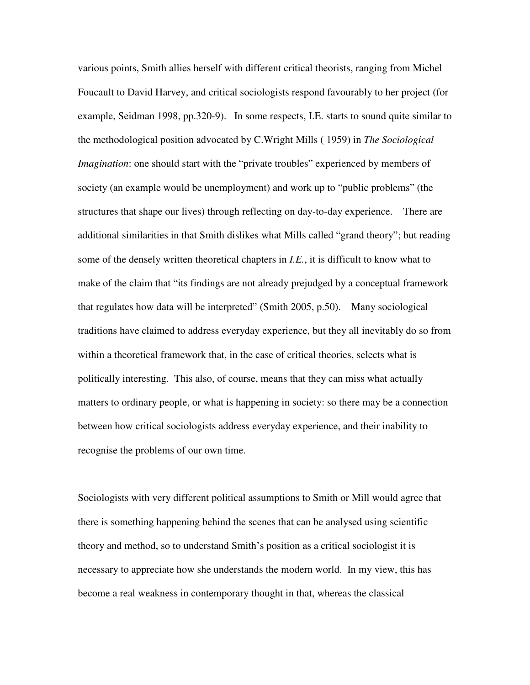various points, Smith allies herself with different critical theorists, ranging from Michel Foucault to David Harvey, and critical sociologists respond favourably to her project (for example, Seidman 1998, pp.320-9). In some respects, I.E. starts to sound quite similar to the methodological position advocated by C.Wright Mills ( 1959) in *The Sociological Imagination*: one should start with the "private troubles" experienced by members of society (an example would be unemployment) and work up to "public problems" (the structures that shape our lives) through reflecting on day-to-day experience. There are additional similarities in that Smith dislikes what Mills called "grand theory"; but reading some of the densely written theoretical chapters in *I.E.*, it is difficult to know what to make of the claim that "its findings are not already prejudged by a conceptual framework that regulates how data will be interpreted" (Smith 2005, p.50). Many sociological traditions have claimed to address everyday experience, but they all inevitably do so from within a theoretical framework that, in the case of critical theories, selects what is politically interesting. This also, of course, means that they can miss what actually matters to ordinary people, or what is happening in society: so there may be a connection between how critical sociologists address everyday experience, and their inability to recognise the problems of our own time.

Sociologists with very different political assumptions to Smith or Mill would agree that there is something happening behind the scenes that can be analysed using scientific theory and method, so to understand Smith's position as a critical sociologist it is necessary to appreciate how she understands the modern world. In my view, this has become a real weakness in contemporary thought in that, whereas the classical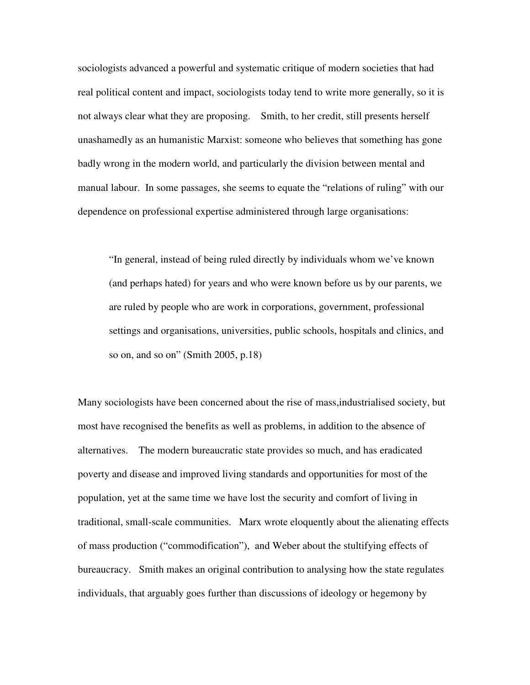sociologists advanced a powerful and systematic critique of modern societies that had real political content and impact, sociologists today tend to write more generally, so it is not always clear what they are proposing. Smith, to her credit, still presents herself unashamedly as an humanistic Marxist: someone who believes that something has gone badly wrong in the modern world, and particularly the division between mental and manual labour. In some passages, she seems to equate the "relations of ruling" with our dependence on professional expertise administered through large organisations:

"In general, instead of being ruled directly by individuals whom we've known (and perhaps hated) for years and who were known before us by our parents, we are ruled by people who are work in corporations, government, professional settings and organisations, universities, public schools, hospitals and clinics, and so on, and so on" (Smith 2005, p.18)

Many sociologists have been concerned about the rise of mass,industrialised society, but most have recognised the benefits as well as problems, in addition to the absence of alternatives. The modern bureaucratic state provides so much, and has eradicated poverty and disease and improved living standards and opportunities for most of the population, yet at the same time we have lost the security and comfort of living in traditional, small-scale communities. Marx wrote eloquently about the alienating effects of mass production ("commodification"), and Weber about the stultifying effects of bureaucracy. Smith makes an original contribution to analysing how the state regulates individuals, that arguably goes further than discussions of ideology or hegemony by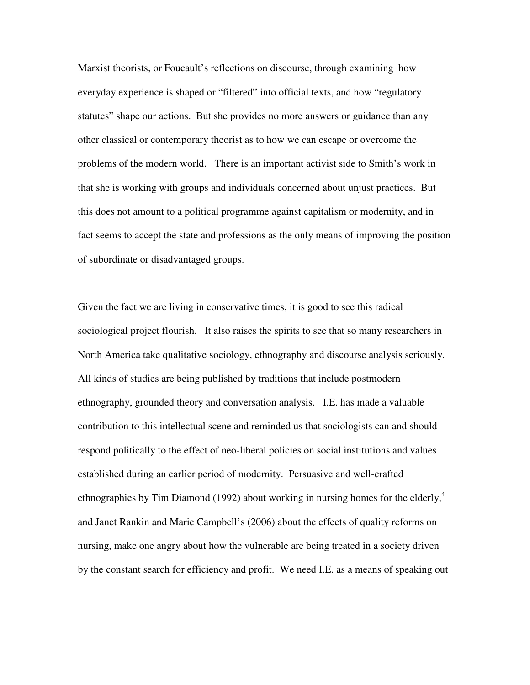Marxist theorists, or Foucault's reflections on discourse, through examining how everyday experience is shaped or "filtered" into official texts, and how "regulatory statutes" shape our actions. But she provides no more answers or guidance than any other classical or contemporary theorist as to how we can escape or overcome the problems of the modern world. There is an important activist side to Smith's work in that she is working with groups and individuals concerned about unjust practices. But this does not amount to a political programme against capitalism or modernity, and in fact seems to accept the state and professions as the only means of improving the position of subordinate or disadvantaged groups.

Given the fact we are living in conservative times, it is good to see this radical sociological project flourish. It also raises the spirits to see that so many researchers in North America take qualitative sociology, ethnography and discourse analysis seriously. All kinds of studies are being published by traditions that include postmodern ethnography, grounded theory and conversation analysis. I.E. has made a valuable contribution to this intellectual scene and reminded us that sociologists can and should respond politically to the effect of neo-liberal policies on social institutions and values established during an earlier period of modernity. Persuasive and well-crafted ethnographies by Tim Diamond (1992) about working in nursing homes for the elderly,<sup>4</sup> and Janet Rankin and Marie Campbell's (2006) about the effects of quality reforms on nursing, make one angry about how the vulnerable are being treated in a society driven by the constant search for efficiency and profit. We need I.E. as a means of speaking out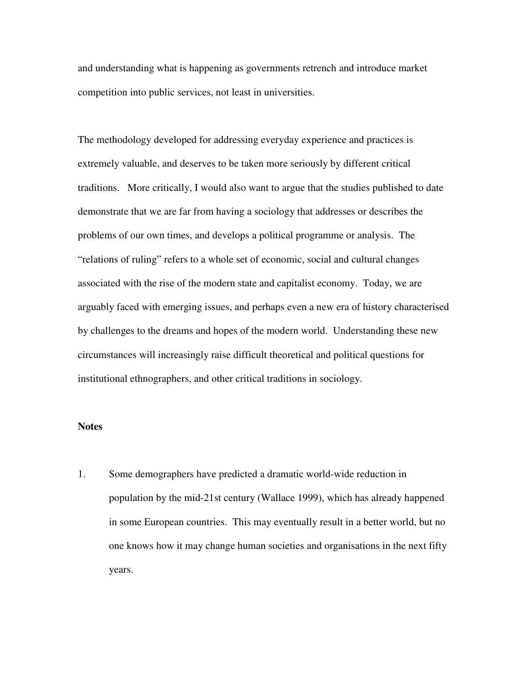and understanding what is happening as governments retrench and introduce market competition into public services, not least in universities.

The methodology developed for addressing everyday experience and practices is extremely valuable, and deserves to be taken more seriously by different critical traditions. More critically, I would also want to argue that the studies published to date demonstrate that we are far from having a sociology that addresses or describes the problems of our own times, and develops a political programme or analysis. The "relations of ruling" refers to a whole set of economic, social and cultural changes associated with the rise of the modern state and capitalist economy. Today, we are arguably faced with emerging issues, and perhaps even a new era of history characterised by challenges to the dreams and hopes of the modern world. Understanding these new circumstances will increasingly raise difficult theoretical and political questions for institutional ethnographers, and other critical traditions in sociology.

### **Notes**

1. Some demographers have predicted a dramatic world-wide reduction in population by the mid-21st century (Wallace 1999), which has already happened in some European countries. This may eventually result in a better world, but no one knows how it may change human societies and organisations in the next fifty years.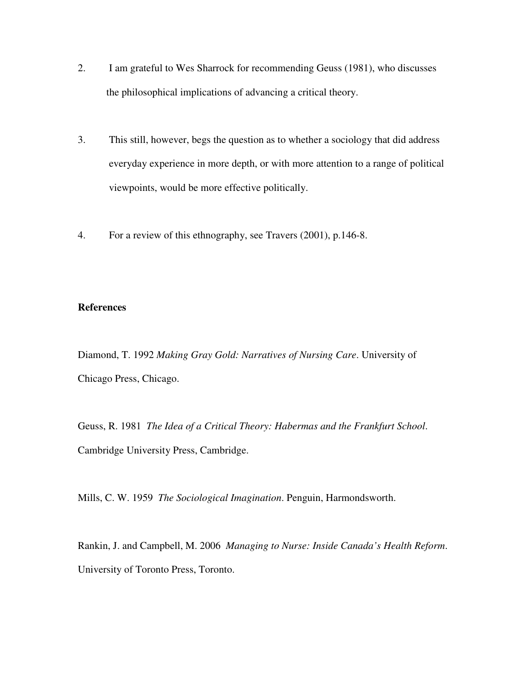- 2. I am grateful to Wes Sharrock for recommending Geuss (1981), who discusses the philosophical implications of advancing a critical theory.
- 3. This still, however, begs the question as to whether a sociology that did address everyday experience in more depth, or with more attention to a range of political viewpoints, would be more effective politically.
- 4. For a review of this ethnography, see Travers (2001), p.146-8.

## **References**

Diamond, T. 1992 *Making Gray Gold: Narratives of Nursing Care*. University of Chicago Press, Chicago.

Geuss, R. 1981 *The Idea of a Critical Theory: Habermas and the Frankfurt School*. Cambridge University Press, Cambridge.

Mills, C. W. 1959 *The Sociological Imagination*. Penguin, Harmondsworth.

Rankin, J. and Campbell, M. 2006 *Managing to Nurse: Inside Canada's Health Reform*. University of Toronto Press, Toronto.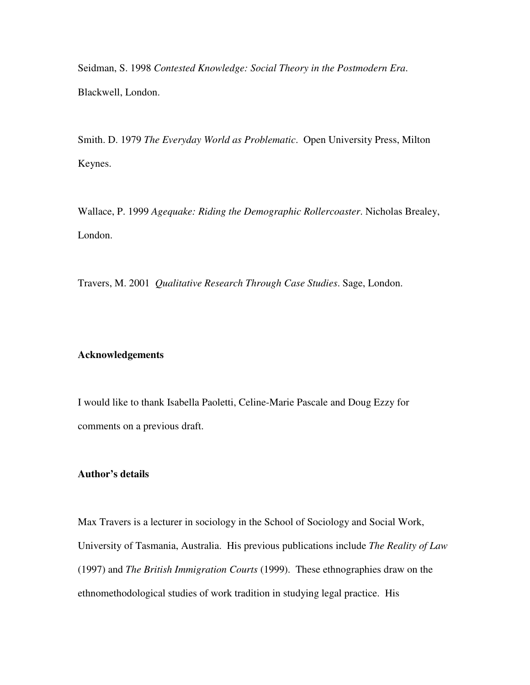Seidman, S. 1998 *Contested Knowledge: Social Theory in the Postmodern Era*. Blackwell, London.

Smith. D. 1979 *The Everyday World as Problematic*. Open University Press, Milton Keynes.

Wallace, P. 1999 *Agequake: Riding the Demographic Rollercoaster*. Nicholas Brealey, London.

Travers, M. 2001 *Qualitative Research Through Case Studies*. Sage, London.

#### **Acknowledgements**

I would like to thank Isabella Paoletti, Celine-Marie Pascale and Doug Ezzy for comments on a previous draft.

#### **Author's details**

Max Travers is a lecturer in sociology in the School of Sociology and Social Work, University of Tasmania, Australia. His previous publications include *The Reality of Law* (1997) and *The British Immigration Courts* (1999). These ethnographies draw on the ethnomethodological studies of work tradition in studying legal practice. His